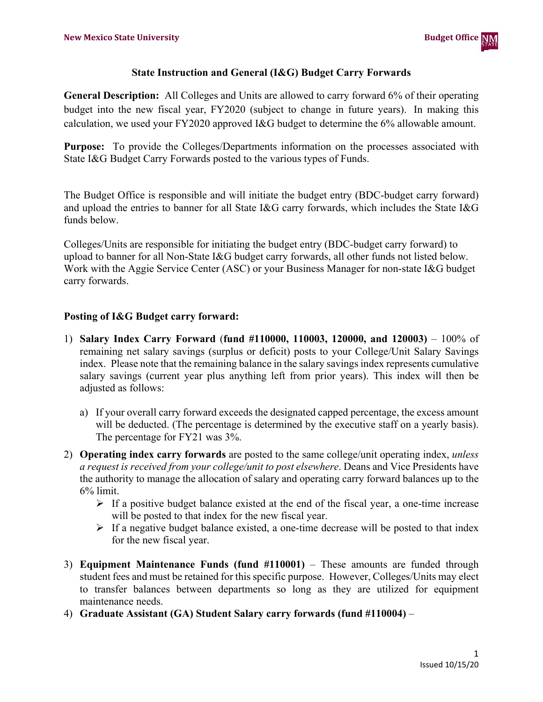

## **State Instruction and General (I&G) Budget Carry Forwards**

**General Description:** All Colleges and Units are allowed to carry forward 6% of their operating budget into the new fiscal year, FY2020 (subject to change in future years). In making this calculation, we used your FY2020 approved I&G budget to determine the 6% allowable amount.

**Purpose:** To provide the Colleges/Departments information on the processes associated with State I&G Budget Carry Forwards posted to the various types of Funds.

The Budget Office is responsible and will initiate the budget entry (BDC-budget carry forward) and upload the entries to banner for all State I&G carry forwards, which includes the State I&G funds below.

Colleges/Units are responsible for initiating the budget entry (BDC-budget carry forward) to upload to banner for all Non-State I&G budget carry forwards, all other funds not listed below. Work with the Aggie Service Center (ASC) or your Business Manager for non-state I&G budget carry forwards.

## **Posting of I&G Budget carry forward:**

- 1) **Salary Index Carry Forward** (**fund #110000, 110003, 120000, and 120003)**  100% of remaining net salary savings (surplus or deficit) posts to your College/Unit Salary Savings index. Please note that the remaining balance in the salary savings index represents cumulative salary savings (current year plus anything left from prior years). This index will then be adjusted as follows:
	- a) If your overall carry forward exceeds the designated capped percentage, the excess amount will be deducted. (The percentage is determined by the executive staff on a yearly basis). The percentage for FY21 was 3%.
- 2) **Operating index carry forwards** are posted to the same college/unit operating index, *unless a request is received from your college/unit to post elsewhere*. Deans and Vice Presidents have the authority to manage the allocation of salary and operating carry forward balances up to the 6% limit.
	- $\triangleright$  If a positive budget balance existed at the end of the fiscal year, a one-time increase will be posted to that index for the new fiscal year.
	- $\triangleright$  If a negative budget balance existed, a one-time decrease will be posted to that index for the new fiscal year.
- 3) **Equipment Maintenance Funds (fund #110001)**  These amounts are funded through student fees and must be retained for this specific purpose. However, Colleges/Units may elect to transfer balances between departments so long as they are utilized for equipment maintenance needs.
- 4) **Graduate Assistant (GA) Student Salary carry forwards (fund #110004)** –